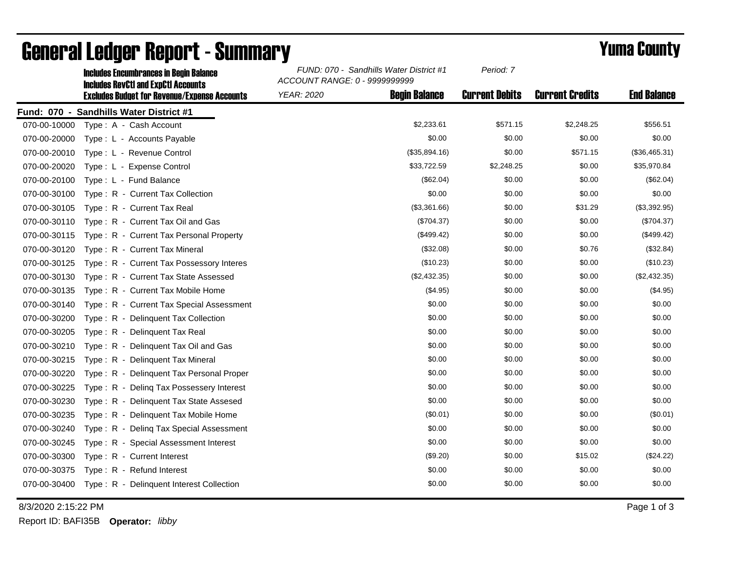|              | <b>Includes Encumbrances in Begin Balance</b><br><b>Includes RevCtI and ExpCtI Accounts</b> | FUND: 070 - Sandhills Water District #1<br>ACCOUNT RANGE: 0 - 9999999999 |                      | Period: 7             |                        |                    |
|--------------|---------------------------------------------------------------------------------------------|--------------------------------------------------------------------------|----------------------|-----------------------|------------------------|--------------------|
|              | <b>Excludes Budget for Revenue/Expense Accounts</b>                                         | <b>YEAR: 2020</b>                                                        | <b>Begin Balance</b> | <b>Current Debits</b> | <b>Current Credits</b> | <b>End Balance</b> |
|              | Fund: 070 - Sandhills Water District #1                                                     |                                                                          |                      |                       |                        |                    |
| 070-00-10000 | Type: A - Cash Account                                                                      |                                                                          | \$2,233.61           | \$571.15              | \$2,248.25             | \$556.51           |
| 070-00-20000 | Type: L - Accounts Payable                                                                  |                                                                          | \$0.00               | \$0.00                | \$0.00                 | \$0.00             |
| 070-00-20010 | Type: L - Revenue Control                                                                   |                                                                          | (\$35,894.16)        | \$0.00                | \$571.15               | (\$36,465.31)      |
| 070-00-20020 | Type: L - Expense Control                                                                   |                                                                          | \$33,722.59          | \$2,248.25            | \$0.00                 | \$35,970.84        |
| 070-00-20100 | Type: L - Fund Balance                                                                      |                                                                          | (\$62.04)            | \$0.00                | \$0.00                 | (\$62.04)          |
| 070-00-30100 | Type: R - Current Tax Collection                                                            |                                                                          | \$0.00               | \$0.00                | \$0.00                 | \$0.00             |
| 070-00-30105 | Type: R - Current Tax Real                                                                  |                                                                          | (\$3,361.66)         | \$0.00                | \$31.29                | (\$3,392.95)       |
| 070-00-30110 | Type: R - Current Tax Oil and Gas                                                           |                                                                          | (\$704.37)           | \$0.00                | \$0.00                 | (\$704.37)         |
| 070-00-30115 | Type: R - Current Tax Personal Property                                                     |                                                                          | (\$499.42)           | \$0.00                | \$0.00                 | (\$499.42)         |
| 070-00-30120 | Type: R - Current Tax Mineral                                                               |                                                                          | (\$32.08)            | \$0.00                | \$0.76                 | (\$32.84)          |
| 070-00-30125 | Type: R - Current Tax Possessory Interes                                                    |                                                                          | (\$10.23)            | \$0.00                | \$0.00                 | (\$10.23)          |
| 070-00-30130 | Type: R - Current Tax State Assessed                                                        |                                                                          | (\$2,432.35)         | \$0.00                | \$0.00                 | (\$2,432.35)       |
| 070-00-30135 | Type: R - Current Tax Mobile Home                                                           |                                                                          | (\$4.95)             | \$0.00                | \$0.00                 | (\$4.95)           |
| 070-00-30140 | Type: R - Current Tax Special Assessment                                                    |                                                                          | \$0.00               | \$0.00                | \$0.00                 | \$0.00             |
| 070-00-30200 | Type: R - Delinquent Tax Collection                                                         |                                                                          | \$0.00               | \$0.00                | \$0.00                 | \$0.00             |
| 070-00-30205 | Type: R - Delinquent Tax Real                                                               |                                                                          | \$0.00               | \$0.00                | \$0.00                 | \$0.00             |
| 070-00-30210 | Type: R - Delinquent Tax Oil and Gas                                                        |                                                                          | \$0.00               | \$0.00                | \$0.00                 | \$0.00             |
| 070-00-30215 | Type: R - Delinquent Tax Mineral                                                            |                                                                          | \$0.00               | \$0.00                | \$0.00                 | \$0.00             |
| 070-00-30220 | Type: R - Delinquent Tax Personal Proper                                                    |                                                                          | \$0.00               | \$0.00                | \$0.00                 | \$0.00             |
| 070-00-30225 | Type: R - Deling Tax Possessery Interest                                                    |                                                                          | \$0.00               | \$0.00                | \$0.00                 | \$0.00             |
| 070-00-30230 | Type: R - Delinquent Tax State Assesed                                                      |                                                                          | \$0.00               | \$0.00                | \$0.00                 | \$0.00             |
| 070-00-30235 | Type: R - Delinquent Tax Mobile Home                                                        |                                                                          | (\$0.01)             | \$0.00                | \$0.00                 | (\$0.01)           |
| 070-00-30240 | Type: R - Deling Tax Special Assessment                                                     |                                                                          | \$0.00               | \$0.00                | \$0.00                 | \$0.00             |
| 070-00-30245 | Type: R - Special Assessment Interest                                                       |                                                                          | \$0.00               | \$0.00                | \$0.00                 | \$0.00             |
| 070-00-30300 | Type: R - Current Interest                                                                  |                                                                          | (\$9.20)             | \$0.00                | \$15.02                | (\$24.22)          |
| 070-00-30375 | Type: R - Refund Interest                                                                   |                                                                          | \$0.00               | \$0.00                | \$0.00                 | \$0.00             |
| 070-00-30400 | Type: R - Delinquent Interest Collection                                                    |                                                                          | \$0.00               | \$0.00                | \$0.00                 | \$0.00             |

## General Ledger Report - Summary **Example 2018** Yuma County

8/3/2020 2:15:22 PM Page 1 of 3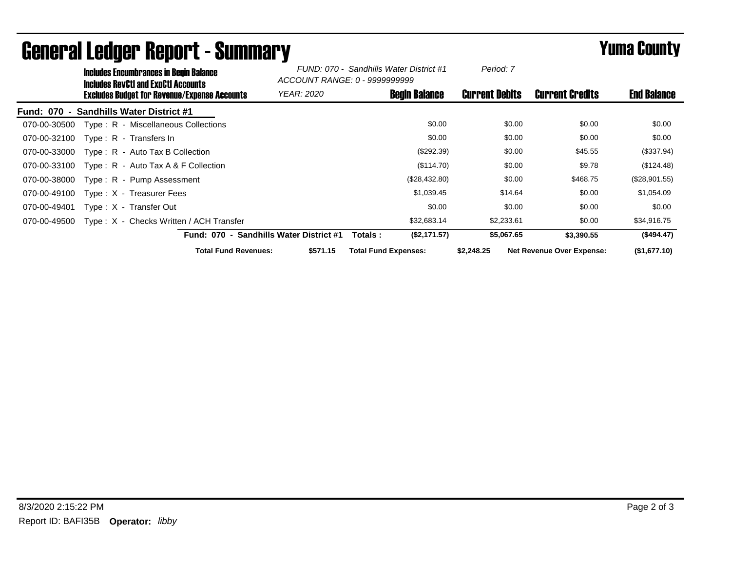| <b>Includes Encumbrances in Begin Balance</b><br><b>Includes RevCtI and ExpCtI Accounts</b> |                                                          | FUND: 070 - Sandhills Water District #1<br>ACCOUNT RANGE: 0 - 9999999999 |                             | Period: 7            |                       |                                  |                    |
|---------------------------------------------------------------------------------------------|----------------------------------------------------------|--------------------------------------------------------------------------|-----------------------------|----------------------|-----------------------|----------------------------------|--------------------|
| Excludes Budget for Revenue/Expense Accounts                                                |                                                          | <i>YEAR: 2020</i>                                                        |                             | <b>Begin Balance</b> | <b>Current Debits</b> | <b>Current Credits</b>           | <b>End Balance</b> |
| <b>Sandhills Water District #1</b><br>Fund: 070<br>$\blacksquare$                           |                                                          |                                                                          |                             |                      |                       |                                  |                    |
| Type: R - Miscellaneous Collections<br>070-00-30500                                         |                                                          |                                                                          |                             | \$0.00               | \$0.00                | \$0.00                           | \$0.00             |
| 070-00-32100<br>Type: $R -$ Transfers In                                                    |                                                          |                                                                          |                             | \$0.00               | \$0.00                | \$0.00                           | \$0.00             |
| 070-00-33000<br>$Type: R - Auto Tax B Collection$                                           |                                                          |                                                                          |                             | (\$292.39)           | \$0.00                | \$45.55                          | (\$337.94)         |
| Type: R - Auto Tax A & F Collection<br>070-00-33100                                         |                                                          |                                                                          |                             | (\$114.70)           | \$0.00                | \$9.78                           | (\$124.48)         |
| Type: R - Pump Assessment<br>070-00-38000                                                   |                                                          |                                                                          |                             | (\$28,432.80)        | \$0.00                | \$468.75                         | (\$28,901.55)      |
| 070-00-49100<br>Type: X - Treasurer Fees                                                    |                                                          |                                                                          |                             | \$1,039.45           | \$14.64               | \$0.00                           | \$1,054.09         |
| 070-00-49401<br>Type: X - Transfer Out                                                      |                                                          |                                                                          |                             | \$0.00               | \$0.00                | \$0.00                           | \$0.00             |
| Type: X - Checks Written / ACH Transfer<br>070-00-49500                                     |                                                          |                                                                          |                             | \$32,683.14          | \$2,233.61            | \$0.00                           | \$34,916.75        |
|                                                                                             | <b>Sandhills Water District #1</b><br><b>Fund: 070 -</b> |                                                                          | Totals :                    | (\$2,171.57)         | \$5,067.65            | \$3,390.55                       | (\$494.47)         |
|                                                                                             | <b>Total Fund Revenues:</b>                              | \$571.15                                                                 | <b>Total Fund Expenses:</b> |                      | \$2,248.25            | <b>Net Revenue Over Expense:</b> | (\$1,677.10)       |

## General Ledger Report - Summary **Example 2018** Yuma County